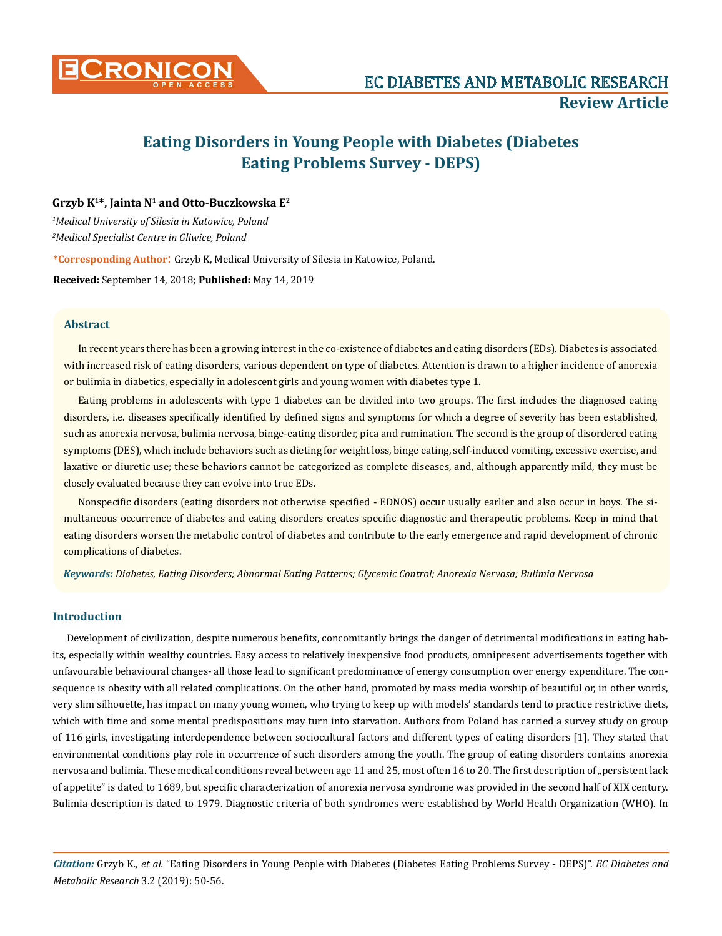

# **Eating Disorders in Young People with Diabetes (Diabetes Eating Problems Survey - DEPS)**

## **Grzyb K1\*, Jainta N1 and Otto-Buczkowska E2**

*1 Medical University of Silesia in Katowice, Poland 2 Medical Specialist Centre in Gliwice, Poland* 

**\*Corresponding Author**: Grzyb K, Medical University of Silesia in Katowice, Poland.

**Received:** September 14, 2018; **Published:** May 14, 2019

## **Abstract**

In recent years there has been a growing interest in the co-existence of diabetes and eating disorders (EDs). Diabetes is associated with increased risk of eating disorders, various dependent on type of diabetes. Attention is drawn to a higher incidence of anorexia or bulimia in diabetics, especially in adolescent girls and young women with diabetes type 1.

Eating problems in adolescents with type 1 diabetes can be divided into two groups. The first includes the diagnosed eating disorders, i.e. diseases specifically identified by defined signs and symptoms for which a degree of severity has been established, such as anorexia nervosa, bulimia nervosa, binge-eating disorder, pica and rumination. The second is the group of disordered eating symptoms (DES), which include behaviors such as dieting for weight loss, binge eating, self-induced vomiting, excessive exercise, and laxative or diuretic use; these behaviors cannot be categorized as complete diseases, and, although apparently mild, they must be closely evaluated because they can evolve into true EDs.

Nonspecific disorders (eating disorders not otherwise specified - EDNOS) occur usually earlier and also occur in boys. The simultaneous occurrence of diabetes and eating disorders creates specific diagnostic and therapeutic problems. Keep in mind that eating disorders worsen the metabolic control of diabetes and contribute to the early emergence and rapid development of chronic complications of diabetes.

*Keywords: Diabetes, Eating Disorders; Abnormal Eating Patterns; Glycemic Control; Anorexia Nervosa; Bulimia Nervosa*

## **Introduction**

Development of civilization, despite numerous benefits, concomitantly brings the danger of detrimental modifications in eating habits, especially within wealthy countries. Easy access to relatively inexpensive food products, omnipresent advertisements together with unfavourable behavioural changes- all those lead to significant predominance of energy consumption over energy expenditure. The consequence is obesity with all related complications. On the other hand, promoted by mass media worship of beautiful or, in other words, very slim silhouette, has impact on many young women, who trying to keep up with models' standards tend to practice restrictive diets, which with time and some mental predispositions may turn into starvation. Authors from Poland has carried a survey study on group of 116 girls, investigating interdependence between sociocultural factors and different types of eating disorders [1]. They stated that environmental conditions play role in occurrence of such disorders among the youth. The group of eating disorders contains anorexia nervosa and bulimia. These medical conditions reveal between age 11 and 25, most often 16 to 20. The first description of "persistent lack of appetite" is dated to 1689, but specific characterization of anorexia nervosa syndrome was provided in the second half of XIX century. Bulimia description is dated to 1979. Diagnostic criteria of both syndromes were established by World Health Organization (WHO). In

*Citation:* Grzyb K*., et al.* "Eating Disorders in Young People with Diabetes (Diabetes Eating Problems Survey - DEPS)". *EC Diabetes and Metabolic Research* 3.2 (2019): 50-56.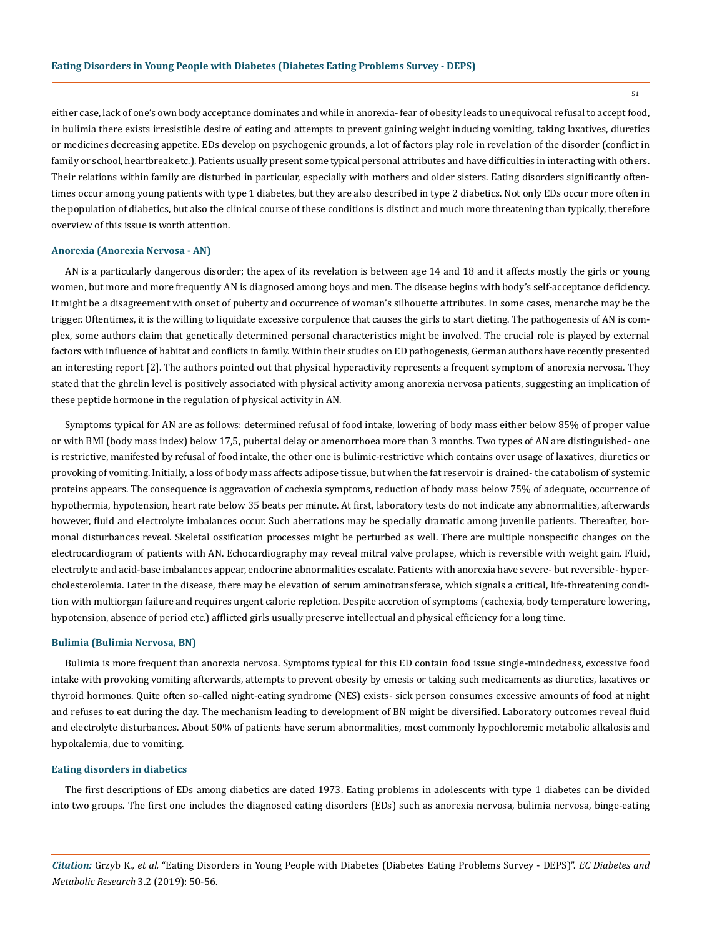51

either case, lack of one's own body acceptance dominates and while in anorexia- fear of obesity leads to unequivocal refusal to accept food, in bulimia there exists irresistible desire of eating and attempts to prevent gaining weight inducing vomiting, taking laxatives, diuretics or medicines decreasing appetite. EDs develop on psychogenic grounds, a lot of factors play role in revelation of the disorder (conflict in family or school, heartbreak etc.). Patients usually present some typical personal attributes and have difficulties in interacting with others. Their relations within family are disturbed in particular, especially with mothers and older sisters. Eating disorders significantly oftentimes occur among young patients with type 1 diabetes, but they are also described in type 2 diabetics. Not only EDs occur more often in the population of diabetics, but also the clinical course of these conditions is distinct and much more threatening than typically, therefore overview of this issue is worth attention.

## **Anorexia (Anorexia Nervosa - AN)**

AN is a particularly dangerous disorder; the apex of its revelation is between age 14 and 18 and it affects mostly the girls or young women, but more and more frequently AN is diagnosed among boys and men. The disease begins with body's self-acceptance deficiency. It might be a disagreement with onset of puberty and occurrence of woman's silhouette attributes. In some cases, menarche may be the trigger. Oftentimes, it is the willing to liquidate excessive corpulence that causes the girls to start dieting. The pathogenesis of AN is complex, some authors claim that genetically determined personal characteristics might be involved. The crucial role is played by external factors with influence of habitat and conflicts in family. Within their studies on ED pathogenesis, German authors have recently presented an interesting report [2]. The authors pointed out that physical hyperactivity represents a frequent symptom of anorexia nervosa. They stated that the ghrelin level is positively associated with physical activity among anorexia nervosa patients, suggesting an implication of these peptide hormone in the regulation of physical activity in AN.

Symptoms typical for AN are as follows: determined refusal of food intake, lowering of body mass either below 85% of proper value or with BMI (body mass index) below 17,5, pubertal delay or amenorrhoea more than 3 months. Two types of AN are distinguished- one is restrictive, manifested by refusal of food intake, the other one is bulimic-restrictive which contains over usage of laxatives, diuretics or provoking of vomiting. Initially, a loss of body mass affects adipose tissue, but when the fat reservoir is drained- the catabolism of systemic proteins appears. The consequence is aggravation of cachexia symptoms, reduction of body mass below 75% of adequate, occurrence of hypothermia, hypotension, heart rate below 35 beats per minute. At first, laboratory tests do not indicate any abnormalities, afterwards however, fluid and electrolyte imbalances occur. Such aberrations may be specially dramatic among juvenile patients. Thereafter, hormonal disturbances reveal. Skeletal ossification processes might be perturbed as well. There are multiple nonspecific changes on the electrocardiogram of patients with AN. Echocardiography may reveal mitral valve prolapse, which is reversible with weight gain. Fluid, electrolyte and acid-base imbalances appear, endocrine abnormalities escalate. Patients with anorexia have severe- but reversible- hypercholesterolemia. Later in the disease, there may be elevation of serum aminotransferase, which signals a critical, life-threatening condition with multiorgan failure and requires urgent calorie repletion. Despite accretion of symptoms (cachexia, body temperature lowering, hypotension, absence of period etc.) afflicted girls usually preserve intellectual and physical efficiency for a long time.

### **Bulimia (Bulimia Nervosa, BN)**

Bulimia is more frequent than anorexia nervosa. Symptoms typical for this ED contain food issue single-mindedness, excessive food intake with provoking vomiting afterwards, attempts to prevent obesity by emesis or taking such medicaments as diuretics, laxatives or thyroid hormones. Quite often so-called night-eating syndrome (NES) exists- sick person consumes excessive amounts of food at night and refuses to eat during the day. The mechanism leading to development of BN might be diversified. Laboratory outcomes reveal fluid and electrolyte disturbances. About 50% of patients have serum abnormalities, most commonly hypochloremic metabolic alkalosis and hypokalemia, due to vomiting.

#### **Eating disorders in diabetics**

The first descriptions of EDs among diabetics are dated 1973. Eating problems in adolescents with type 1 diabetes can be divided into two groups. The first one includes the diagnosed eating disorders (EDs) such as anorexia nervosa, bulimia nervosa, binge-eating

*Citation:* Grzyb K*., et al.* "Eating Disorders in Young People with Diabetes (Diabetes Eating Problems Survey - DEPS)". *EC Diabetes and Metabolic Research* 3.2 (2019): 50-56.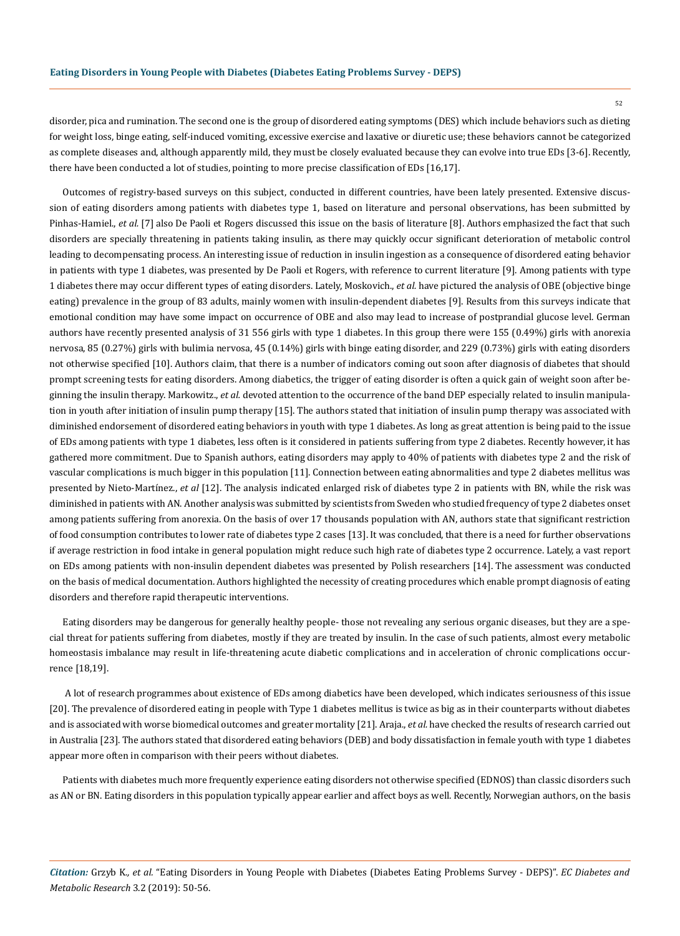52

disorder, pica and rumination. The second one is the group of disordered eating symptoms (DES) which include behaviors such as dieting for weight loss, binge eating, self-induced vomiting, excessive exercise and laxative or diuretic use; these behaviors cannot be categorized as complete diseases and, although apparently mild, they must be closely evaluated because they can evolve into true EDs [3-6]. Recently, there have been conducted a lot of studies, pointing to more precise classification of EDs [16,17].

Outcomes of registry-based surveys on this subject, conducted in different countries, have been lately presented. Extensive discussion of eating disorders among patients with diabetes type 1, based on literature and personal observations, has been submitted by Pinhas-Hamiel., *et al.* [7] also De Paoli et Rogers discussed this issue on the basis of literature [8]. Authors emphasized the fact that such disorders are specially threatening in patients taking insulin, as there may quickly occur significant deterioration of metabolic control leading to decompensating process. An interesting issue of reduction in insulin ingestion as a consequence of disordered eating behavior in patients with type 1 diabetes, was presented by De Paoli et Rogers, with reference to current literature [9]. Among patients with type 1 diabetes there may occur different types of eating disorders. Lately, Moskovich., *et al.* have pictured the analysis of OBE (objective binge eating) prevalence in the group of 83 adults, mainly women with insulin-dependent diabetes [9]. Results from this surveys indicate that emotional condition may have some impact on occurrence of OBE and also may lead to increase of postprandial glucose level. German authors have recently presented analysis of 31 556 girls with type 1 diabetes. In this group there were 155 (0.49%) girls with anorexia nervosa, 85 (0.27%) girls with bulimia nervosa, 45 (0.14%) girls with binge eating disorder, and 229 (0.73%) girls with eating disorders not otherwise specified [10]. Authors claim, that there is a number of indicators coming out soon after diagnosis of diabetes that should prompt screening tests for eating disorders. Among diabetics, the trigger of eating disorder is often a quick gain of weight soon after beginning the insulin therapy. Markowitz., *et al.* devoted attention to the occurrence of the band DEP especially related to insulin manipulation in youth after initiation of insulin pump therapy [15]. The authors stated that initiation of insulin pump therapy was associated with diminished endorsement of disordered eating behaviors in youth with type 1 diabetes. As long as great attention is being paid to the issue of EDs among patients with type 1 diabetes, less often is it considered in patients suffering from type 2 diabetes. Recently however, it has gathered more commitment. Due to Spanish authors, eating disorders may apply to 40% of patients with diabetes type 2 and the risk of vascular complications is much bigger in this population [11]. Connection between eating abnormalities and type 2 diabetes mellitus was presented by Nieto-Martínez., *et al* [12]. The analysis indicated enlarged risk of diabetes type 2 in patients with BN, while the risk was diminished in patients with AN. Another analysis was submitted by scientists from Sweden who studied frequency of type 2 diabetes onset among patients suffering from anorexia. On the basis of over 17 thousands population with AN, authors state that significant restriction of food consumption contributes to lower rate of diabetes type 2 cases [13]. It was concluded, that there is a need for further observations if average restriction in food intake in general population might reduce such high rate of diabetes type 2 occurrence. Lately, a vast report on EDs among patients with non-insulin dependent diabetes was presented by Polish researchers [14]. The assessment was conducted on the basis of medical documentation. Authors highlighted the necessity of creating procedures which enable prompt diagnosis of eating disorders and therefore rapid therapeutic interventions.

Eating disorders may be dangerous for generally healthy people- those not revealing any serious organic diseases, but they are a special threat for patients suffering from diabetes, mostly if they are treated by insulin. In the case of such patients, almost every metabolic homeostasis imbalance may result in life-threatening acute diabetic complications and in acceleration of chronic complications occurrence [18,19].

 A lot of research programmes about existence of EDs among diabetics have been developed, which indicates seriousness of this issue [20]. The prevalence of disordered eating in people with Type 1 diabetes mellitus is twice as big as in their counterparts without diabetes and is associated with worse biomedical outcomes and greater mortality [21]. Araja., *et al.* have checked the results of research carried out in Australia [23]. The authors stated that disordered eating behaviors (DEB) and body dissatisfaction in female youth with type 1 diabetes appear more often in comparison with their peers without diabetes.

Patients with diabetes much more frequently experience eating disorders not otherwise specified (EDNOS) than classic disorders such as AN or BN. Eating disorders in this population typically appear earlier and affect boys as well. Recently, Norwegian authors, on the basis

*Citation:* Grzyb K*., et al.* "Eating Disorders in Young People with Diabetes (Diabetes Eating Problems Survey - DEPS)". *EC Diabetes and Metabolic Research* 3.2 (2019): 50-56.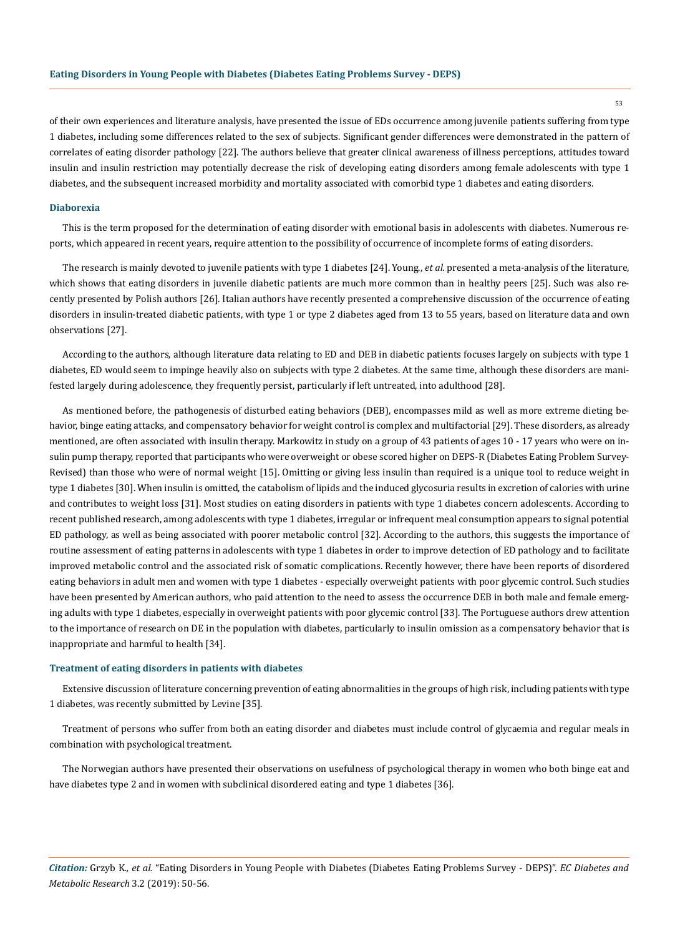of their own experiences and literature analysis, have presented the issue of EDs occurrence among juvenile patients suffering from type 1 diabetes, including some differences related to the sex of subjects. Significant gender differences were demonstrated in the pattern of correlates of eating disorder pathology [22]. The authors believe that greater clinical awareness of illness perceptions, attitudes toward insulin and insulin restriction may potentially decrease the risk of developing eating disorders among female adolescents with type 1 diabetes, and the subsequent increased morbidity and mortality associated with comorbid type 1 diabetes and eating disorders.

#### **Diaborexia**

This is the term proposed for the determination of eating disorder with emotional basis in adolescents with diabetes. Numerous reports, which appeared in recent years, require attention to the possibility of occurrence of incomplete forms of eating disorders.

The research is mainly devoted to juvenile patients with type 1 diabetes [24]. Young., *et al.* presented a meta-analysis of the literature, which shows that eating disorders in juvenile diabetic patients are much more common than in healthy peers [25]. Such was also recently presented by Polish authors [26]. Italian authors have recently presented a comprehensive discussion of the occurrence of eating disorders in insulin-treated diabetic patients, with type 1 or type 2 diabetes aged from 13 to 55 years, based on literature data and own observations [27].

According to the authors, although literature data relating to ED and DEB in diabetic patients focuses largely on subjects with type 1 diabetes, ED would seem to impinge heavily also on subjects with type 2 diabetes. At the same time, although these disorders are manifested largely during adolescence, they frequently persist, particularly if left untreated, into adulthood [28].

As mentioned before, the pathogenesis of disturbed eating behaviors (DEB), encompasses mild as well as more extreme dieting behavior, binge eating attacks, and compensatory behavior for weight control is complex and multifactorial [29]. These disorders, as already mentioned, are often associated with insulin therapy. Markowitz in study on a group of 43 patients of ages 10 - 17 years who were on insulin pump therapy, reported that participants who were overweight or obese scored higher on DEPS-R (Diabetes Eating Problem Survey-Revised) than those who were of normal weight [15]. Omitting or giving less insulin than required is a unique tool to reduce weight in type 1 diabetes [30]. When insulin is omitted, the catabolism of lipids and the induced glycosuria results in excretion of calories with urine and contributes to weight loss [31]. Most studies on eating disorders in patients with type 1 diabetes concern adolescents. According to recent published research, among adolescents with type 1 diabetes, irregular or infrequent meal consumption appears to signal potential ED pathology, as well as being associated with poorer metabolic control [32]. According to the authors, this suggests the importance of routine assessment of eating patterns in adolescents with type 1 diabetes in order to improve detection of ED pathology and to facilitate improved metabolic control and the associated risk of somatic complications. Recently however, there have been reports of disordered eating behaviors in adult men and women with type 1 diabetes - especially overweight patients with poor glycemic control. Such studies have been presented by American authors, who paid attention to the need to assess the occurrence DEB in both male and female emerging adults with type 1 diabetes, especially in overweight patients with poor glycemic control [33]. The Portuguese authors drew attention to the importance of research on DE in the population with diabetes, particularly to insulin omission as a compensatory behavior that is inappropriate and harmful to health [34].

## **Treatment of eating disorders in patients with diabetes**

Extensive discussion of literature concerning prevention of eating abnormalities in the groups of high risk, including patients with type 1 diabetes, was recently submitted by Levine [35].

Treatment of persons who suffer from both an eating disorder and diabetes must include control of glycaemia and regular meals in combination with psychological treatment.

The Norwegian authors have presented their observations on usefulness of psychological therapy in women who both binge eat and have diabetes type 2 and in women with subclinical disordered eating and type 1 diabetes [36].

*Citation:* Grzyb K*., et al.* "Eating Disorders in Young People with Diabetes (Diabetes Eating Problems Survey - DEPS)". *EC Diabetes and Metabolic Research* 3.2 (2019): 50-56.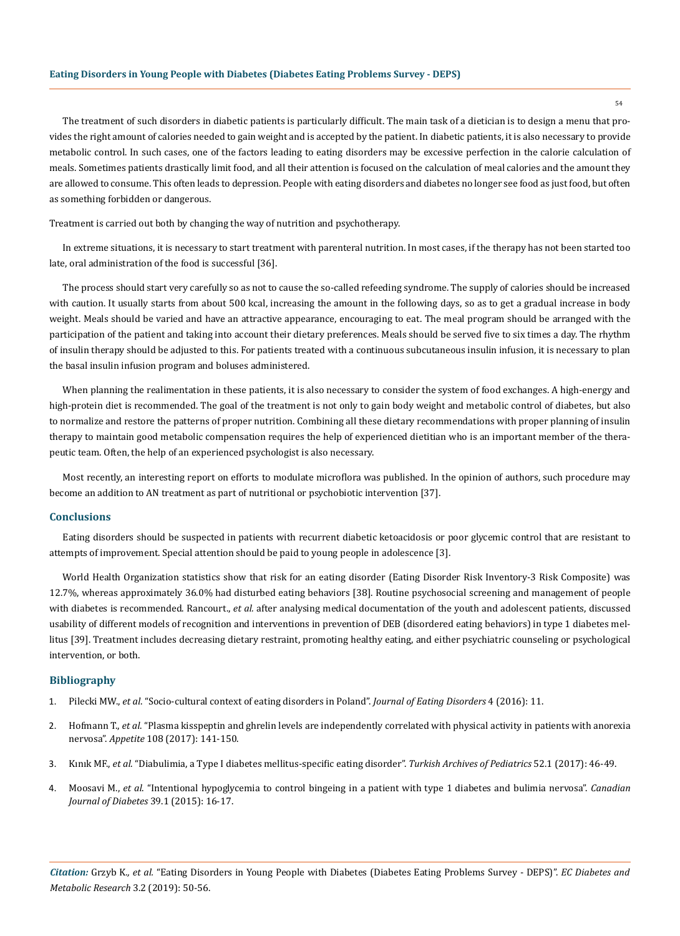## **Eating Disorders in Young People with Diabetes (Diabetes Eating Problems Survey - DEPS)**

The treatment of such disorders in diabetic patients is particularly difficult. The main task of a dietician is to design a menu that provides the right amount of calories needed to gain weight and is accepted by the patient. In diabetic patients, it is also necessary to provide metabolic control. In such cases, one of the factors leading to eating disorders may be excessive perfection in the calorie calculation of meals. Sometimes patients drastically limit food, and all their attention is focused on the calculation of meal calories and the amount they are allowed to consume. This often leads to depression. People with eating disorders and diabetes no longer see food as just food, but often as something forbidden or dangerous.

Treatment is carried out both by changing the way of nutrition and psychotherapy.

In extreme situations, it is necessary to start treatment with parenteral nutrition. In most cases, if the therapy has not been started too late, oral administration of the food is successful [36].

The process should start very carefully so as not to cause the so-called refeeding syndrome. The supply of calories should be increased with caution. It usually starts from about 500 kcal, increasing the amount in the following days, so as to get a gradual increase in body weight. Meals should be varied and have an attractive appearance, encouraging to eat. The meal program should be arranged with the participation of the patient and taking into account their dietary preferences. Meals should be served five to six times a day. The rhythm of insulin therapy should be adjusted to this. For patients treated with a continuous subcutaneous insulin infusion, it is necessary to plan the basal insulin infusion program and boluses administered.

When planning the realimentation in these patients, it is also necessary to consider the system of food exchanges. A high-energy and high-protein diet is recommended. The goal of the treatment is not only to gain body weight and metabolic control of diabetes, but also to normalize and restore the patterns of proper nutrition. Combining all these dietary recommendations with proper planning of insulin therapy to maintain good metabolic compensation requires the help of experienced dietitian who is an important member of the therapeutic team. Often, the help of an experienced psychologist is also necessary.

Most recently, an interesting report on efforts to modulate microflora was published. In the opinion of authors, such procedure may become an addition to AN treatment as part of nutritional or psychobiotic intervention [37].

#### **Conclusions**

Eating disorders should be suspected in patients with recurrent diabetic ketoacidosis or poor glycemic control that are resistant to attempts of improvement. Special attention should be paid to young people in adolescence [3].

World Health Organization statistics show that risk for an eating disorder (Eating Disorder Risk Inventory-3 Risk Composite) was 12.7%, whereas approximately 36.0% had disturbed eating behaviors [38]. Routine psychosocial screening and management of people with diabetes is recommended. Rancourt., *et al.* after analysing medical documentation of the youth and adolescent patients, discussed usability of different models of recognition and interventions in prevention of DEB (disordered eating behaviors) in type 1 diabetes mellitus [39]. Treatment includes decreasing dietary restraint, promoting healthy eating, and either psychiatric counseling or psychological intervention, or both.

## **Bibliography**

- 1. Pilecki MW., *et al*[. "Socio-cultural context of eating disorders in Poland".](https://www.ncbi.nlm.nih.gov/pmc/articles/PMC4797342/) *Journal of Eating Disorders* 4 (2016): 11.
- 2. Hofmann T., *et al*[. "Plasma kisspeptin and ghrelin levels are independently correlated with physical activity in patients with anorexia](https://www.ncbi.nlm.nih.gov/pubmed/27693487)  nervosa". *Appetite* [108 \(2017\): 141-150.](https://www.ncbi.nlm.nih.gov/pubmed/27693487)
- 3. Kınık MF., *et al*[. "Diabulimia, a Type I diabetes mellitus-specific eating disorder".](https://www.ncbi.nlm.nih.gov/pmc/articles/PMC5396822/) *Turkish Archives of Pediatrics* 52.1 (2017): 46-49.
- 4. Moosavi M., *et al*[. "Intentional hypoglycemia to control bingeing in a patient with type 1 diabetes and bulimia nervosa".](https://www.ncbi.nlm.nih.gov/pubmed/25282003) *Canadian [Journal of Diabetes](https://www.ncbi.nlm.nih.gov/pubmed/25282003)* 39.1 (2015): 16-17.

*Citation:* Grzyb K*., et al.* "Eating Disorders in Young People with Diabetes (Diabetes Eating Problems Survey - DEPS)". *EC Diabetes and Metabolic Research* 3.2 (2019): 50-56.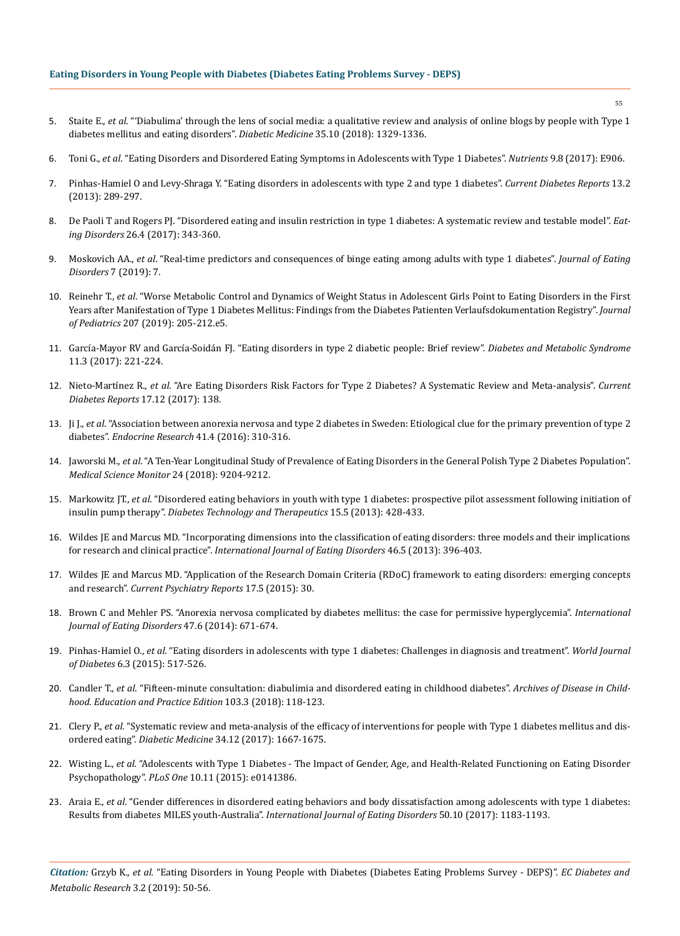## **Eating Disorders in Young People with Diabetes (Diabetes Eating Problems Survey - DEPS)**

- 5. Staite E., *et al*[. "'Diabulima' through the lens of social media: a qualitative review and analysis of online blogs by people with Type 1](https://www.ncbi.nlm.nih.gov/pubmed/29855073)  [diabetes mellitus and eating disorders".](https://www.ncbi.nlm.nih.gov/pubmed/29855073) *Diabetic Medicine* 35.10 (2018): 1329-1336.
- 6. Toni G., *et al*[. "Eating Disorders and Disordered Eating Symptoms in Adolescents with Type 1 Diabetes".](https://www.ncbi.nlm.nih.gov/pubmed/28825608) *Nutrients* 9.8 (2017): E906.
- 7. [Pinhas-Hamiel O and Levy-Shraga Y. "Eating disorders in adolescents with type 2 and type 1 diabetes".](https://www.ncbi.nlm.nih.gov/pubmed/23266564) *Current Diabetes Reports* 13.2 [\(2013\): 289-297.](https://www.ncbi.nlm.nih.gov/pubmed/23266564)
- 8. [De Paoli T and Rogers PJ. "Disordered eating and insulin restriction in type 1 diabetes: A systematic review and testable model".](https://www.ncbi.nlm.nih.gov/pubmed/29182474) *Eating Disorders* [26.4 \(2017\): 343-360.](https://www.ncbi.nlm.nih.gov/pubmed/29182474)
- 9. Moskovich AA., *et al*[. "Real-time predictors and consequences of binge eating among adults with type 1 diabetes".](https://jeatdisord.biomedcentral.com/articles/10.1186/s40337-019-0237-3) *Journal of Eating [Disorders](https://jeatdisord.biomedcentral.com/articles/10.1186/s40337-019-0237-3)* 7 (2019): 7.
- 10. Reinehr T., *et al*[. "Worse Metabolic Control and Dynamics of Weight Status in Adolescent Girls Point to Eating Disorders in the First](https://www.ncbi.nlm.nih.gov/pubmed/30579582)  [Years after Manifestation of Type 1 Diabetes Mellitus: Findings from the Diabetes Patienten Verlaufsdokumentation Registry".](https://www.ncbi.nlm.nih.gov/pubmed/30579582) *Journal of Pediatrics* [207 \(2019\): 205-212.e5.](https://www.ncbi.nlm.nih.gov/pubmed/30579582)
- 11. [García-Mayor RV and García-Soidán FJ. "Eating disorders in type 2 diabetic people: Brief review".](https://www.ncbi.nlm.nih.gov/pubmed/27575047) *Diabetes and Metabolic Syndrome*  [11.3 \(2017\): 221-224.](https://www.ncbi.nlm.nih.gov/pubmed/27575047)
- 12. Nieto-Martínez R., *et al*[. "Are Eating Disorders Risk Factors for Type 2 Diabetes? A Systematic Review and Meta-analysis".](https://www.ncbi.nlm.nih.gov/pubmed/29168047) *Current [Diabetes Reports](https://www.ncbi.nlm.nih.gov/pubmed/29168047)* 17.12 (2017): 138.
- 13. Ji J., *et al*[. "Association between anorexia nervosa and type 2 diabetes in Sweden: Etiological clue for the primary prevention of type 2](https://www.ncbi.nlm.nih.gov/pubmed/26906648)  diabetes". *[Endocrine Research](https://www.ncbi.nlm.nih.gov/pubmed/26906648)* 41.4 (2016): 310-316.
- 14. Jaworski M., *et al*[. "A Ten-Year Longitudinal Study of Prevalence of Eating Disorders in the General Polish Type 2 Diabetes Population".](https://www.ncbi.nlm.nih.gov/pubmed/30562336)  *[Medical Science Monitor](https://www.ncbi.nlm.nih.gov/pubmed/30562336)* 24 (2018): 9204-9212.
- 15. Markowitz JT., *et al*[. "Disordered eating behaviors in youth with type 1 diabetes: prospective pilot assessment following initiation of](https://www.ncbi.nlm.nih.gov/pmc/articles/PMC3694516/)  insulin pump therapy". *[Diabetes Technology and Therapeutics](https://www.ncbi.nlm.nih.gov/pmc/articles/PMC3694516/)* 15.5 (2013): 428-433.
- 16. [Wildes JE and Marcus MD. "Incorporating dimensions into the classification of eating disorders: three models and their implications](https://www.ncbi.nlm.nih.gov/pmc/articles/PMC3744318/)  for research and clinical practice". *[International Journal of Eating Disorders](https://www.ncbi.nlm.nih.gov/pmc/articles/PMC3744318/)* 46.5 (2013): 396-403.
- 17. [Wildes JE and Marcus MD. "Application of the Research Domain Criteria \(RDoC\) framework to eating disorders: emerging concepts](https://www.ncbi.nlm.nih.gov/pubmed/25773226)  and research". *[Current Psychiatry Reports](https://www.ncbi.nlm.nih.gov/pubmed/25773226)* 17.5 (2015): 30.
- 18. [Brown C and Mehler PS. "Anorexia nervosa complicated by diabetes mellitus: the case for permissive hyperglycemia".](https://www.ncbi.nlm.nih.gov/pubmed/24719247) *International [Journal of Eating Disorders](https://www.ncbi.nlm.nih.gov/pubmed/24719247)* 47.6 (2014): 671-674.
- 19. Pinhas-Hamiel O., *et al*[. "Eating disorders in adolescents with type 1 diabetes: Challenges in diagnosis and treatment".](https://www.ncbi.nlm.nih.gov/pubmed/25897361) *World Journal of Diabetes* [6.3 \(2015\): 517-526.](https://www.ncbi.nlm.nih.gov/pubmed/25897361)
- 20. Candler T., *et al*[. "Fifteen-minute consultation: diabulimia and disordered eating in childhood diabetes".](https://www.ncbi.nlm.nih.gov/pubmed/29079591) *Archives of Disease in Child[hood. Education and Practice Edition](https://www.ncbi.nlm.nih.gov/pubmed/29079591)* 103.3 (2018): 118-123.
- 21. Clery P., *et al*[. "Systematic review and meta-analysis of the efficacy of interventions for people with Type 1 diabetes mellitus and dis](https://www.ncbi.nlm.nih.gov/pubmed/28887815)ordered eating". *Diabetic Medicine* [34.12 \(2017\): 1667-1675.](https://www.ncbi.nlm.nih.gov/pubmed/28887815)
- 22. Wisting L., *et al*[. "Adolescents with Type 1 Diabetes The Impact of Gender, Age, and Health-Related Functioning on Eating Disorder](https://www.ncbi.nlm.nih.gov/pubmed/26529593)  Psychopathology". *PLoS One* [10.11 \(2015\): e0141386.](https://www.ncbi.nlm.nih.gov/pubmed/26529593)
- 23. Araia E., *et al*[. "Gender differences in disordered eating behaviors and body dissatisfaction among adolescents with type 1 diabetes:](https://www.ncbi.nlm.nih.gov/pubmed/28856699)  Results from diabetes MILES youth-Australia". *[International Journal of Eating Disorders](https://www.ncbi.nlm.nih.gov/pubmed/28856699)* 50.10 (2017): 1183-1193.

*Citation:* Grzyb K*., et al.* "Eating Disorders in Young People with Diabetes (Diabetes Eating Problems Survey - DEPS)". *EC Diabetes and Metabolic Research* 3.2 (2019): 50-56.